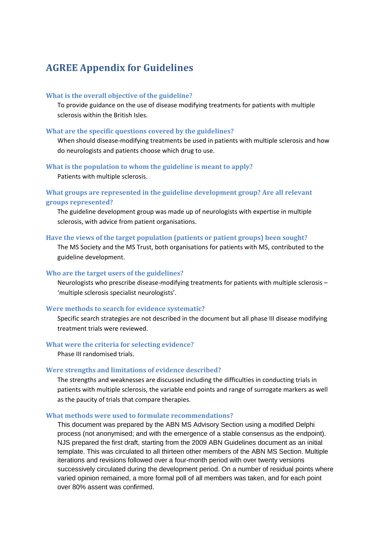# **AGREE Appendix for Guidelines**

## **What is the overall objective of the guideline?**

To provide guidance on the use of disease modifying treatments for patients with multiple sclerosis within the British Isles.

## **What are the specific questions covered by the guidelines?**

When should disease-modifying treatments be used in patients with multiple sclerosis and how do neurologists and patients choose which drug to use.

#### **What is the population to whom the guideline is meant to apply?**

Patients with multiple sclerosis.

## **What groups are represented in the guideline development group? Are all relevant groups represented?**

The guideline development group was made up of neurologists with expertise in multiple sclerosis, with advice from patient organisations.

#### **Have the views of the target population (patients or patient groups) been sought?**

The MS Society and the MS Trust, both organisations for patients with MS, contributed to the guideline development.

### **Who are the target users of the guidelines?**

Neurologists who prescribe disease-modifying treatments for patients with multiple sclerosis – 'multiple sclerosis specialist neurologists'.

#### **Were methods to search for evidence systematic?**

Specific search strategies are not described in the document but all phase III disease modifying treatment trials were reviewed.

#### **What were the criteria for selecting evidence?**

Phase III randomised trials.

## **Were strengths and limitations of evidence described?**

The strengths and weaknesses are discussed including the difficulties in conducting trials in patients with multiple sclerosis, the variable end points and range of surrogate markers as well as the paucity of trials that compare therapies.

## **What methods were used to formulate recommendations?**

This document was prepared by the ABN MS Advisory Section using a modified Delphi process (not anonymised; and with the emergence of a stable consensus as the endpoint). NJS prepared the first draft, starting from the 2009 ABN Guidelines document as an initial template. This was circulated to all thirteen other members of the ABN MS Section. Multiple iterations and revisions followed over a four-month period with over twenty versions successively circulated during the development period. On a number of residual points where varied opinion remained, a more formal poll of all members was taken, and for each point over 80% assent was confirmed.